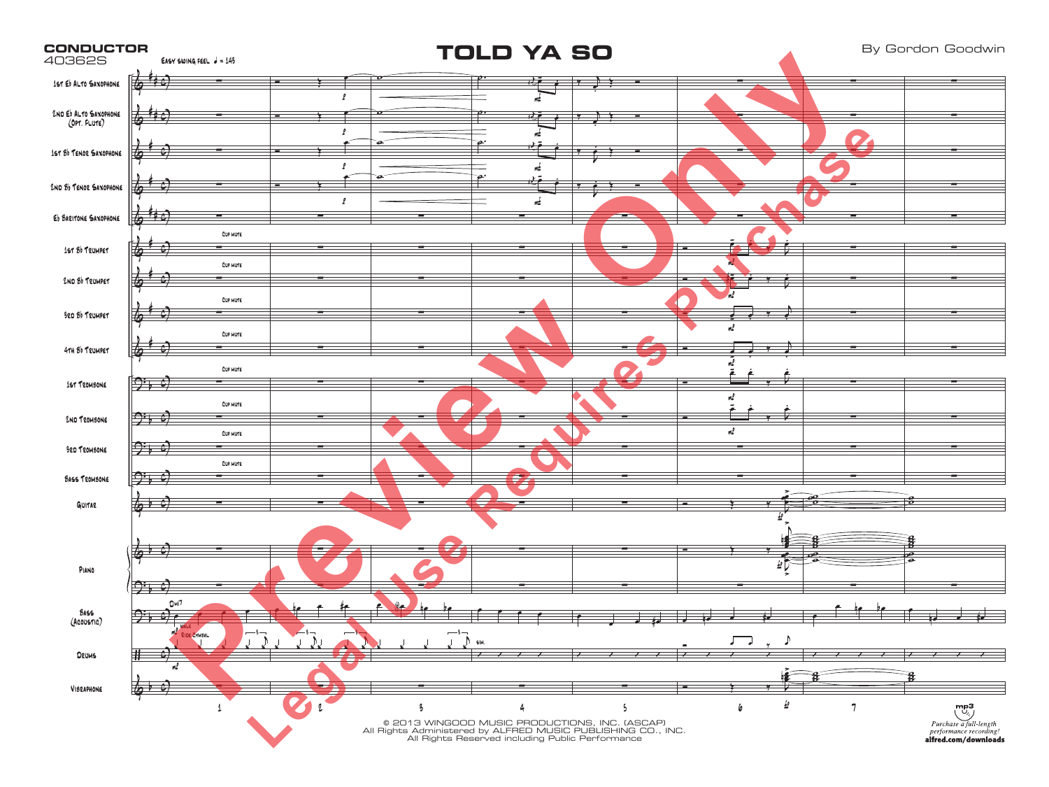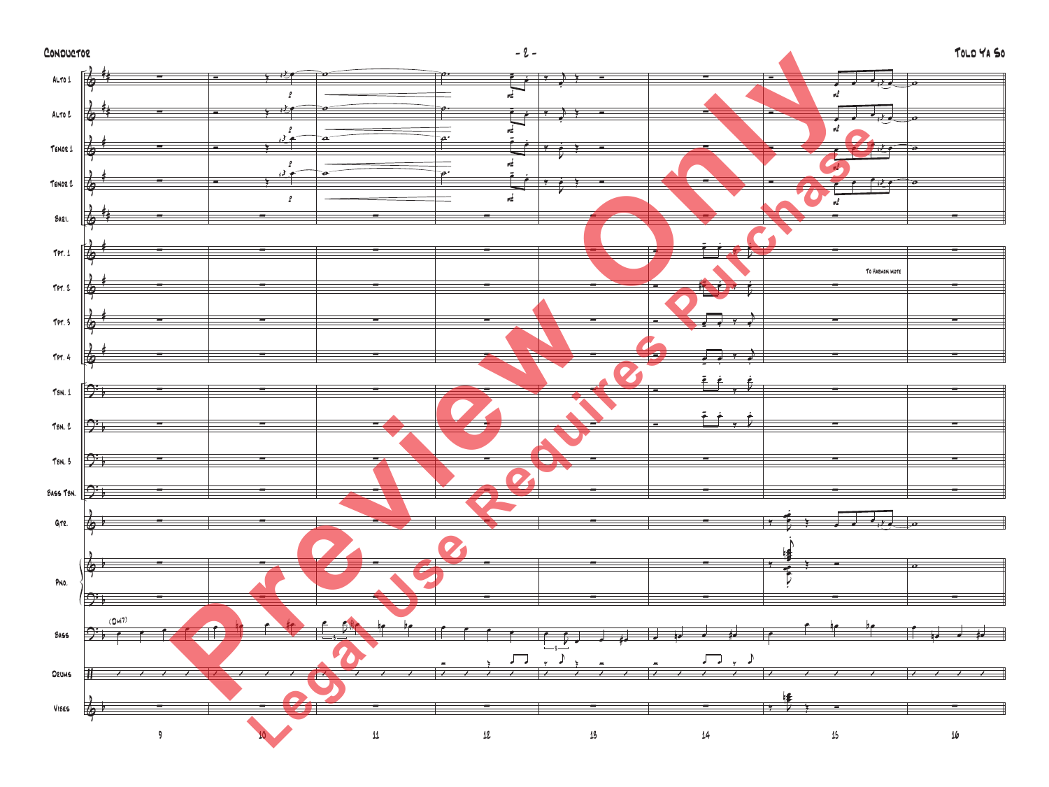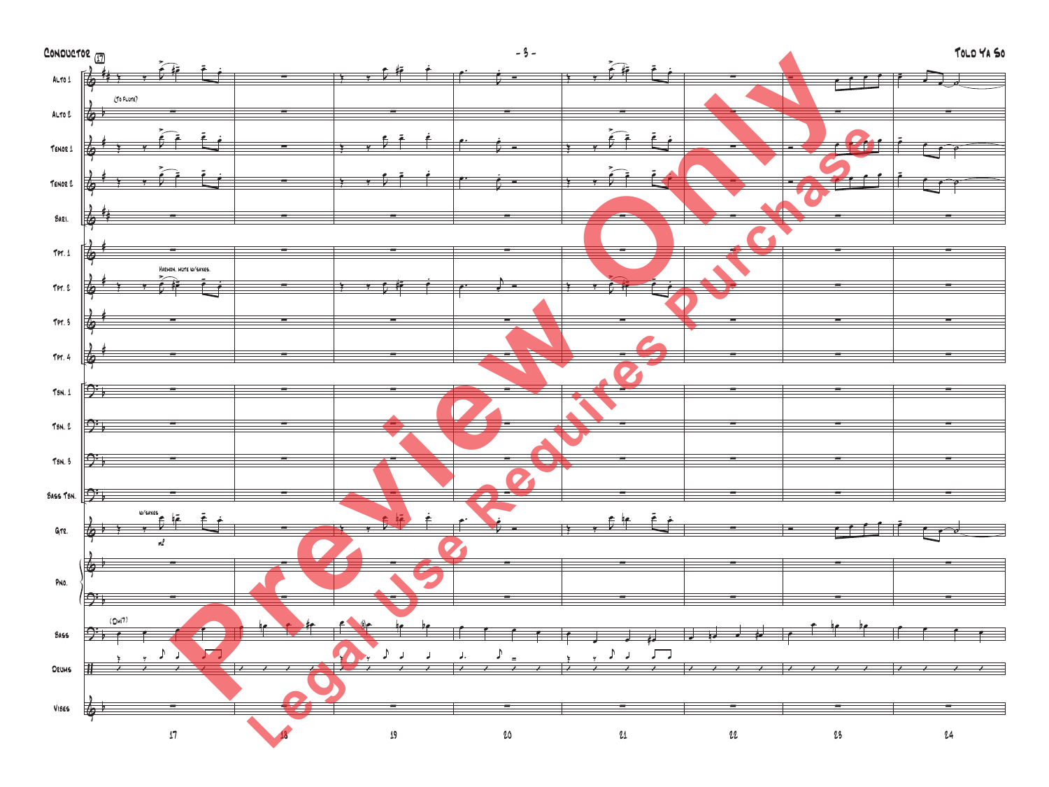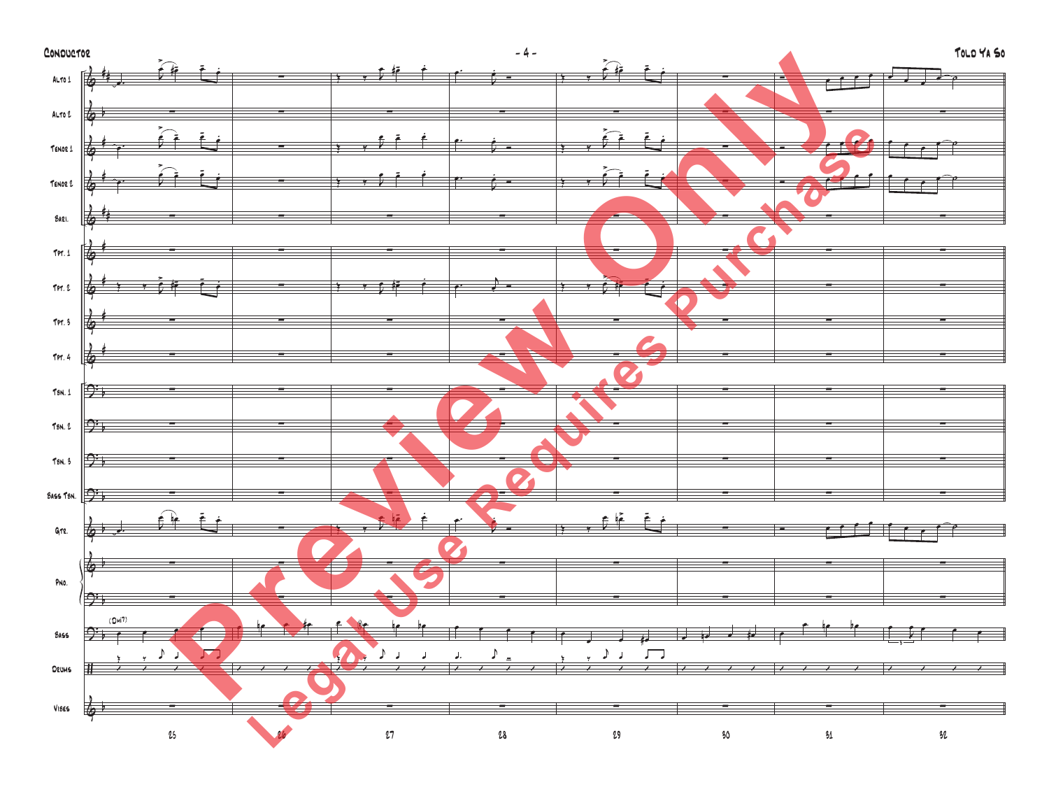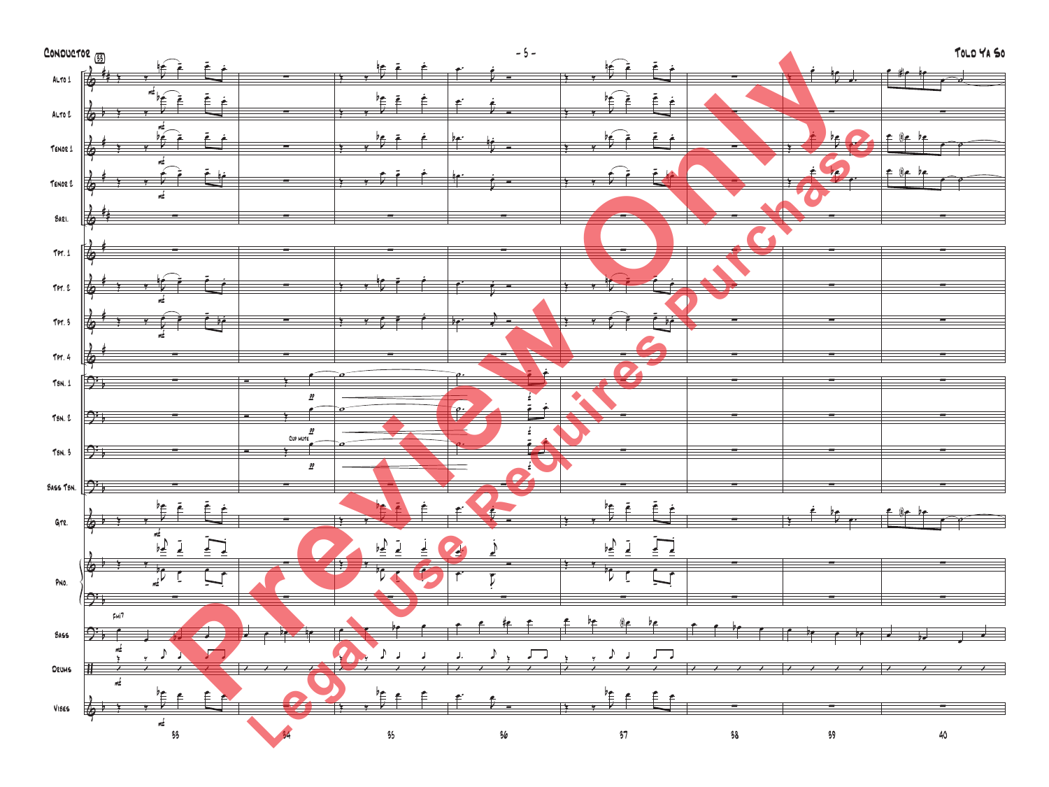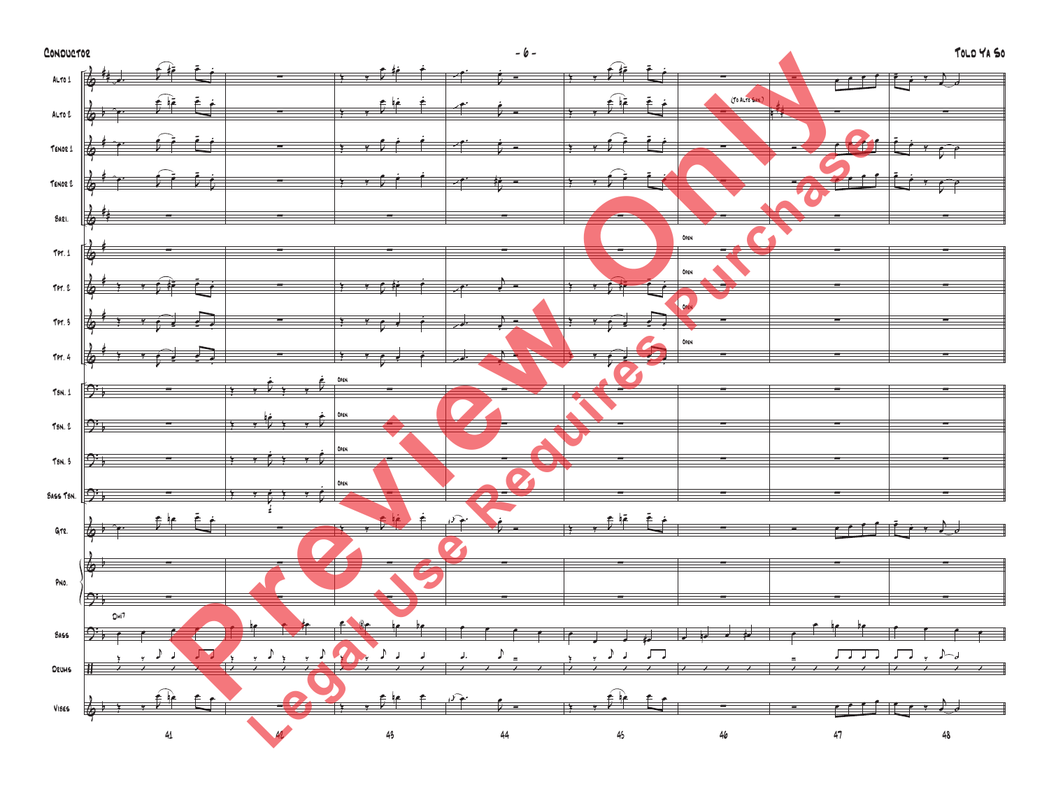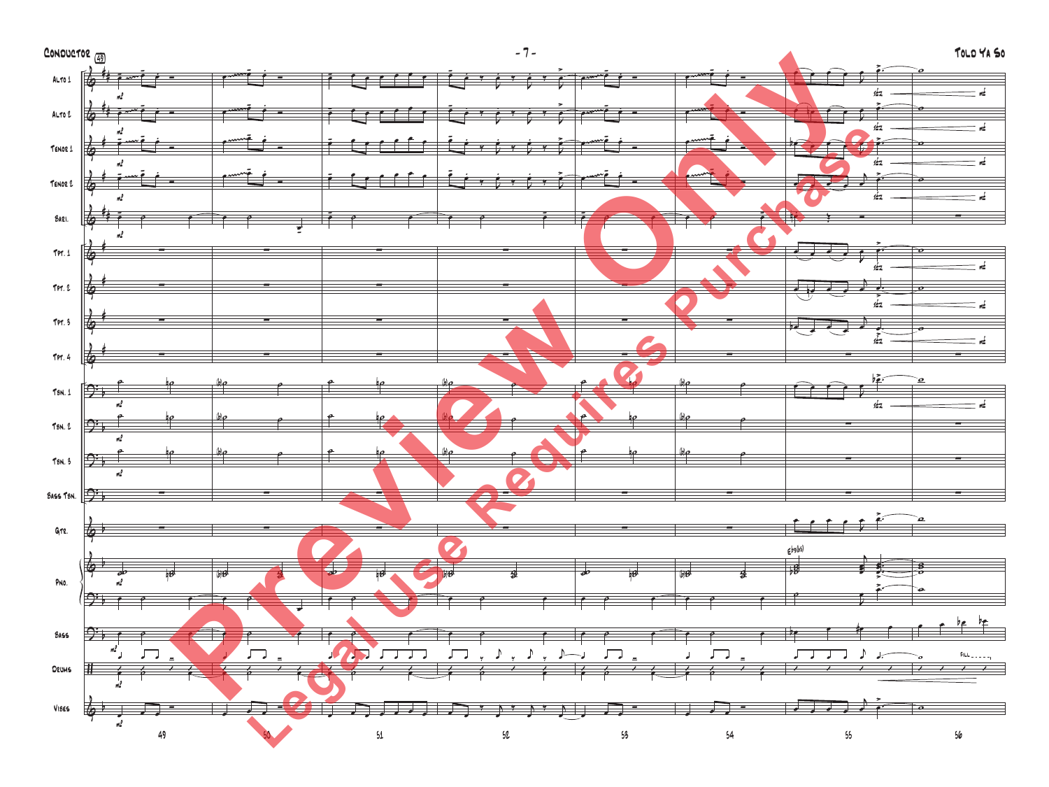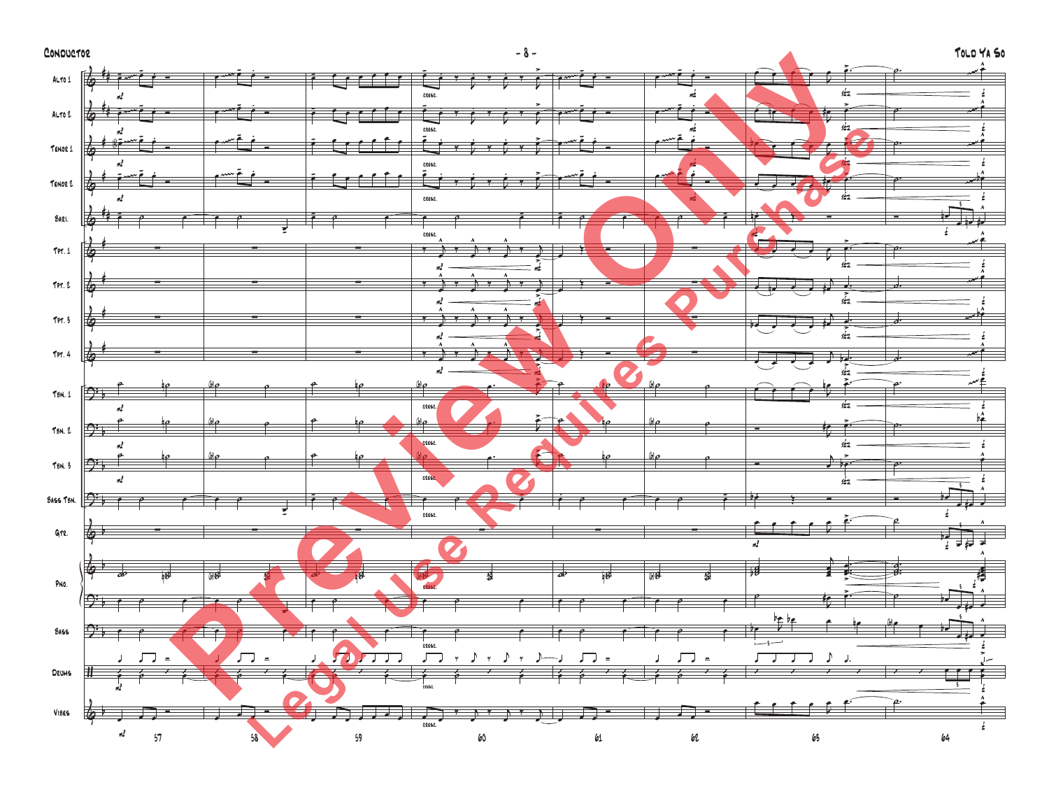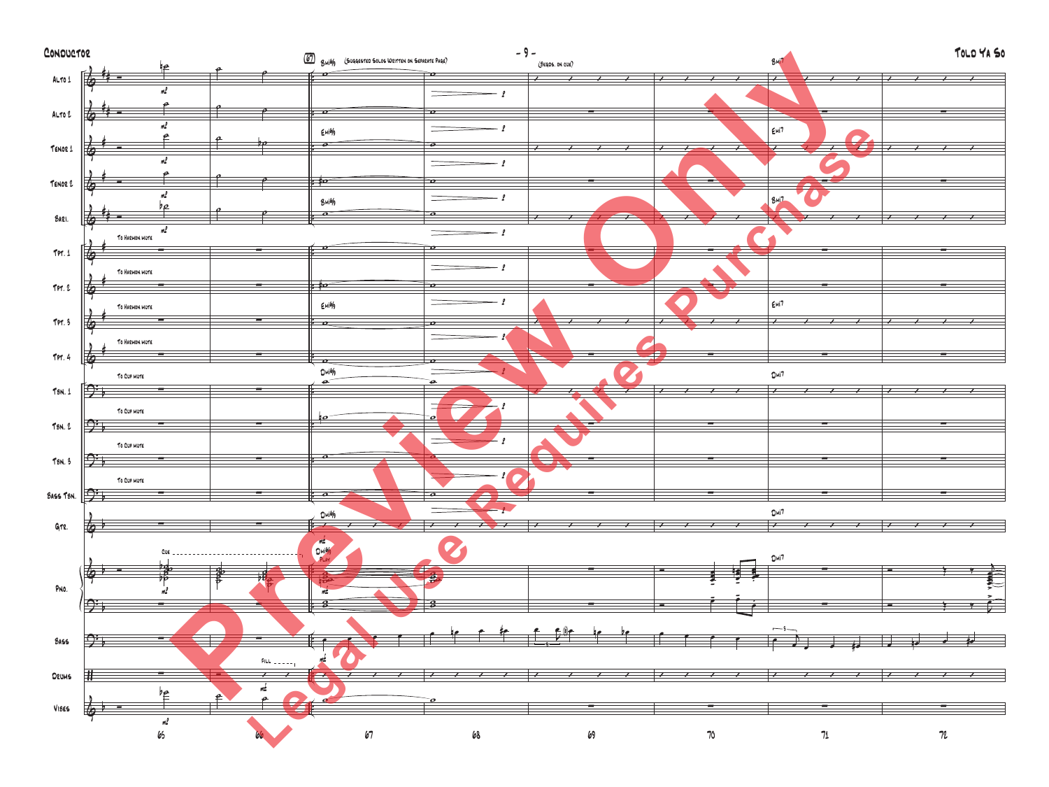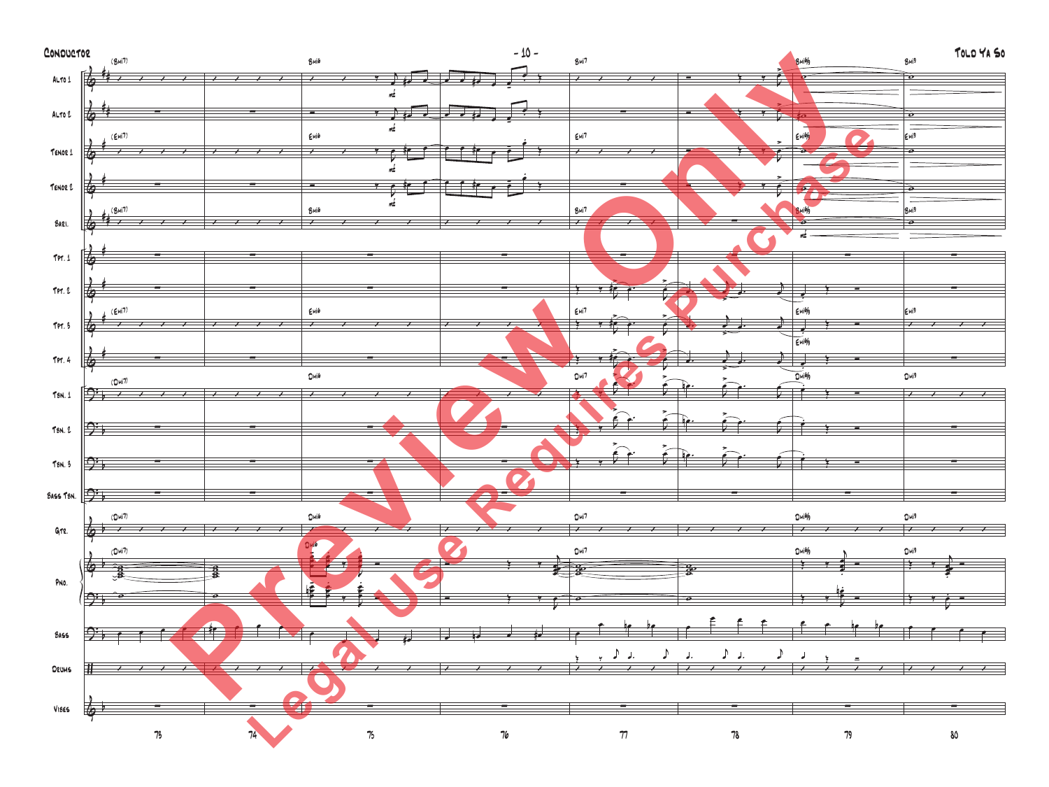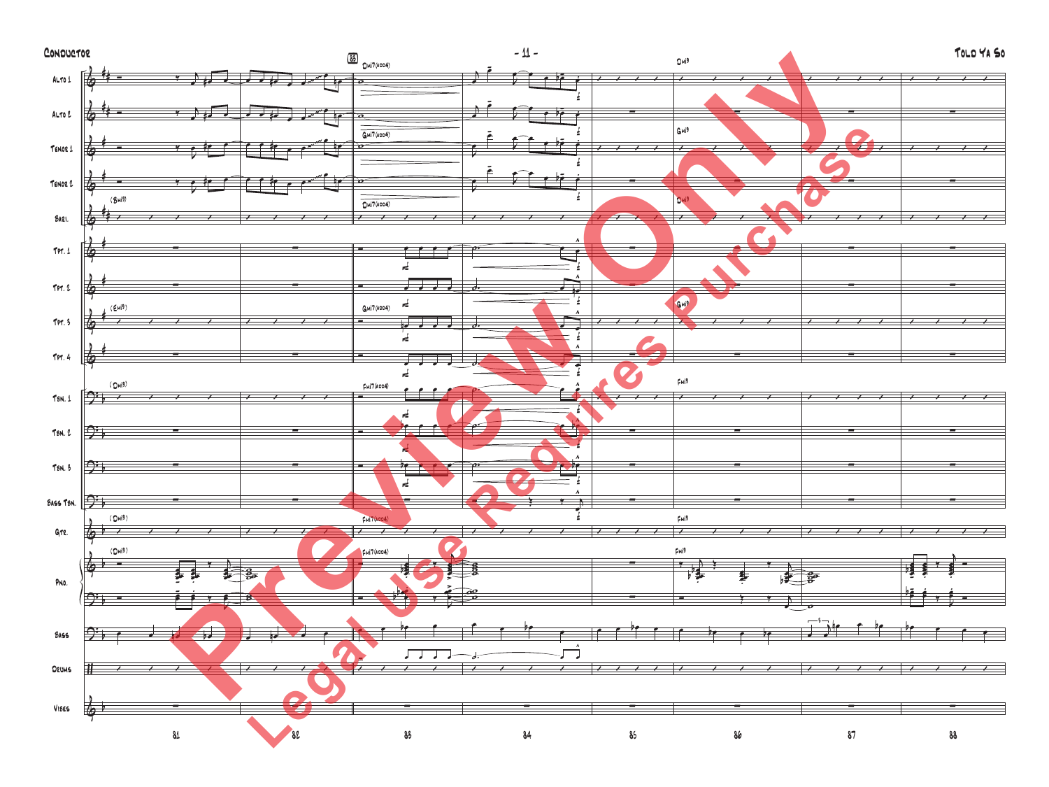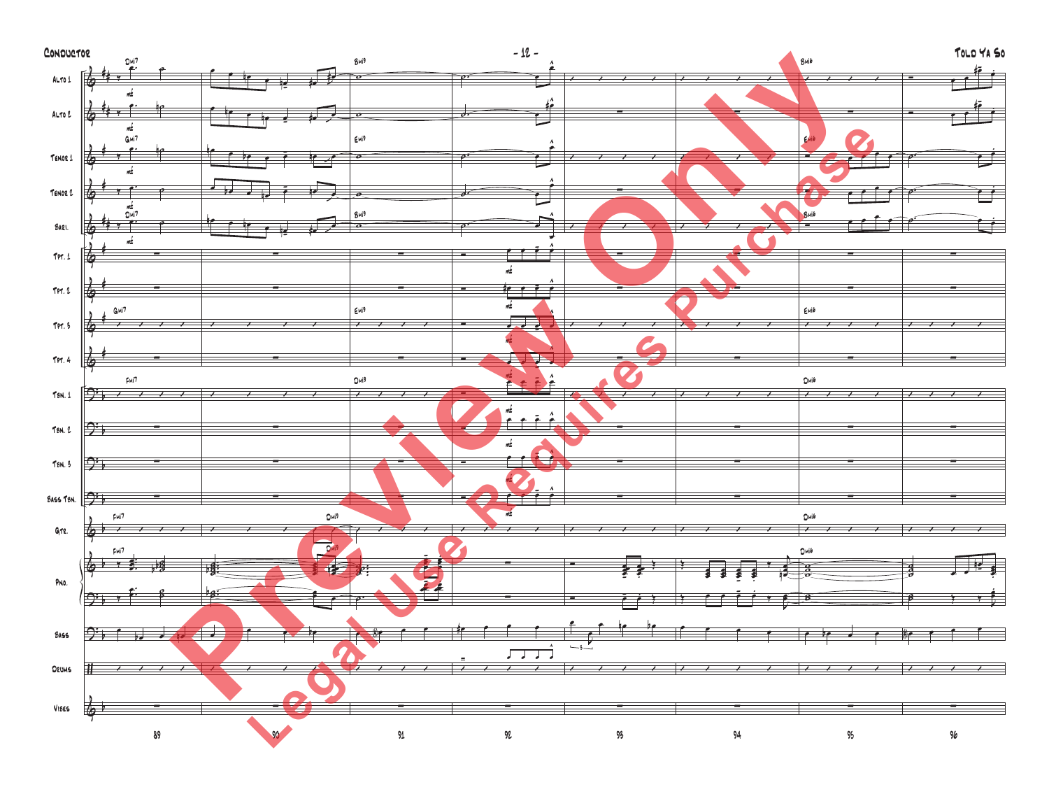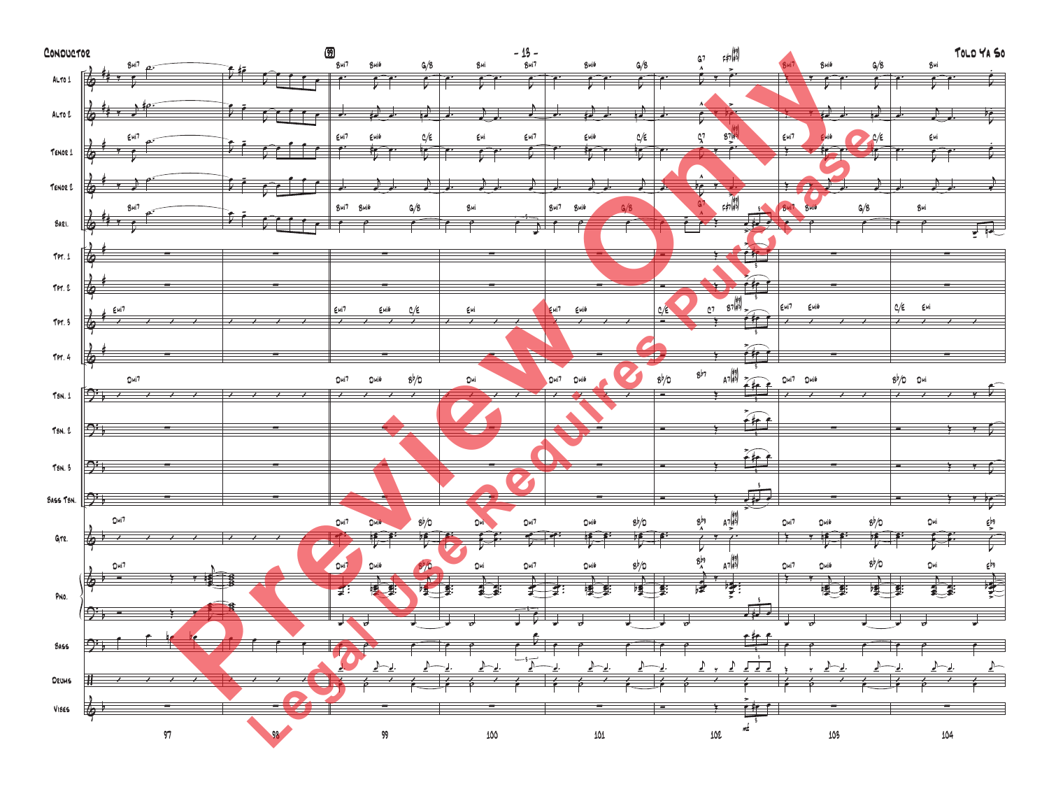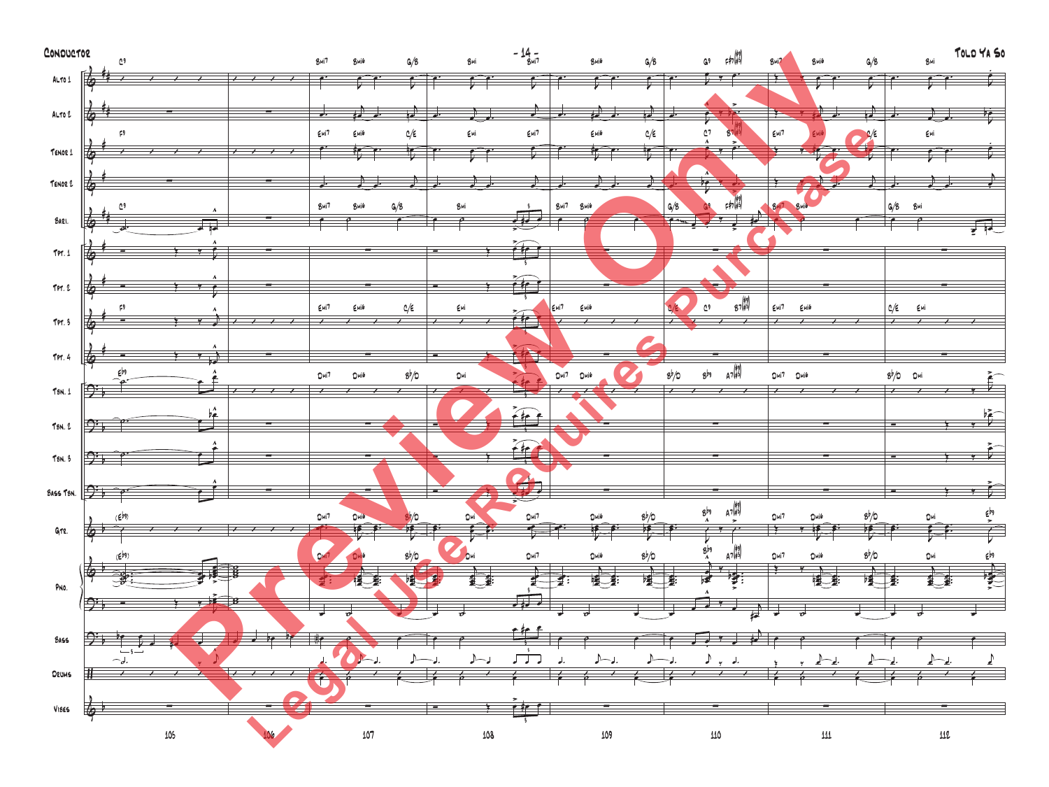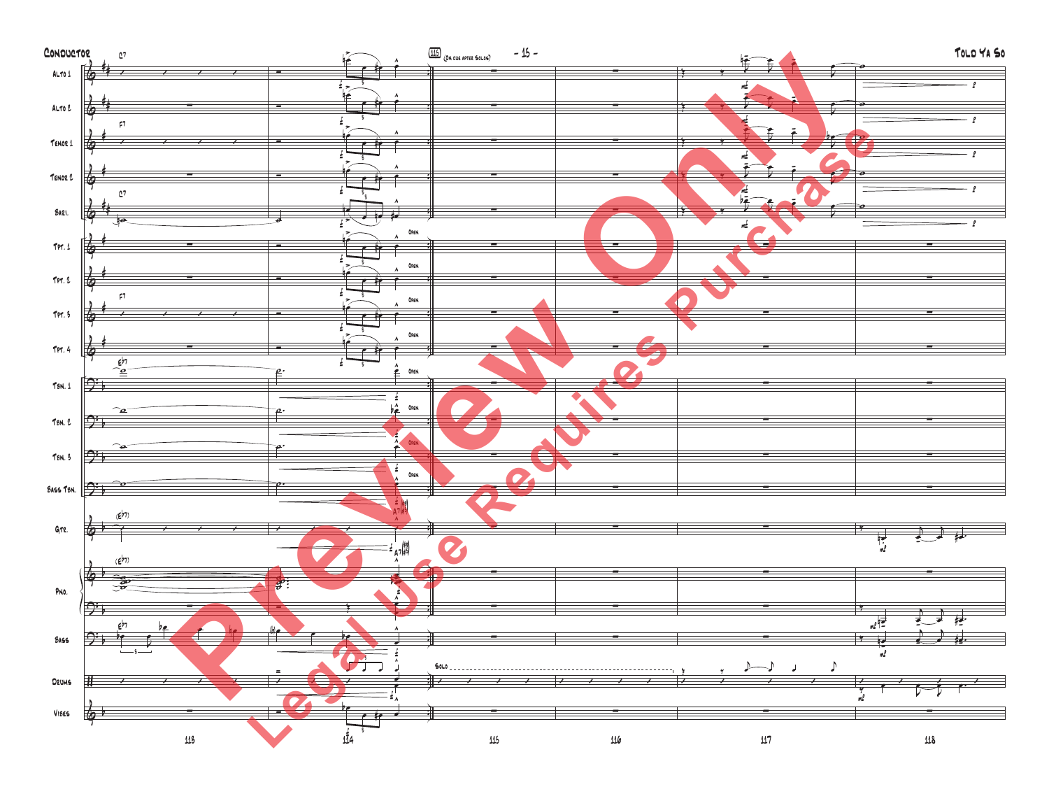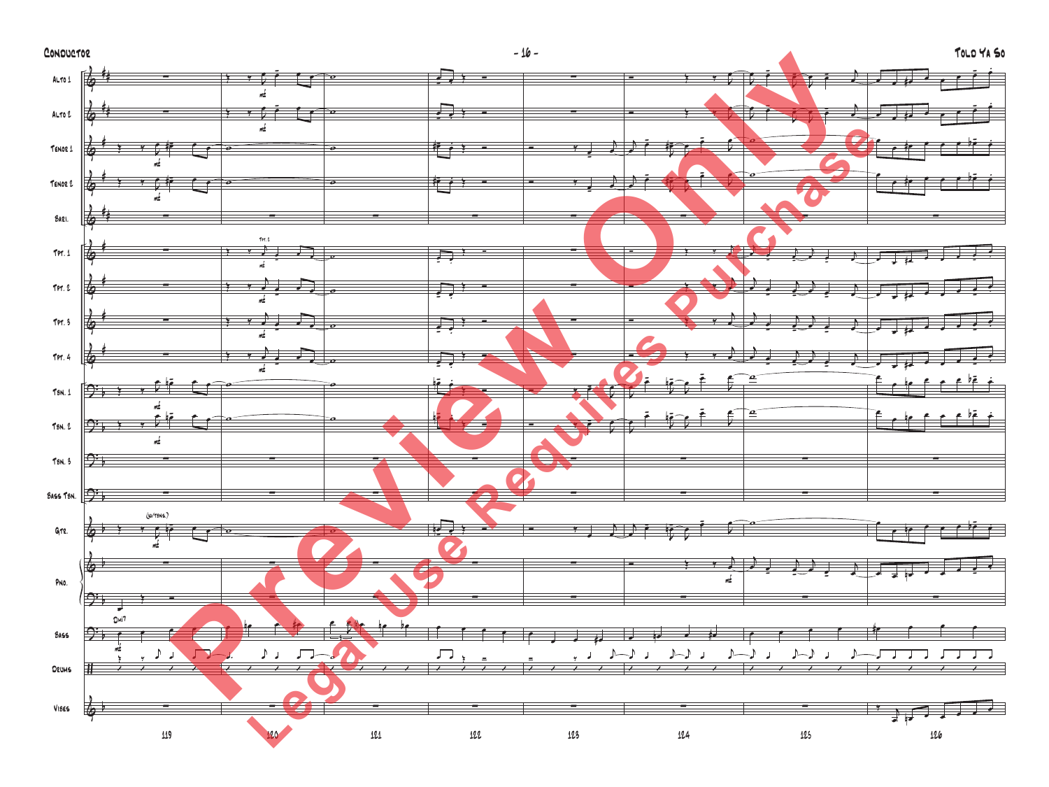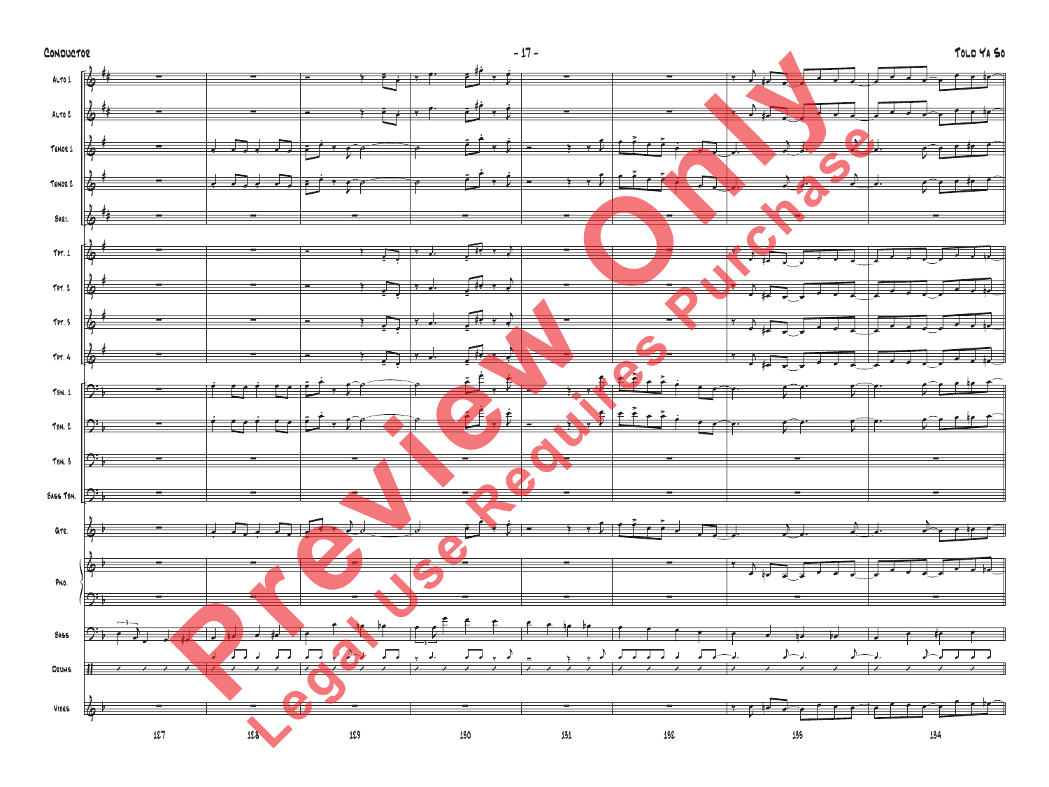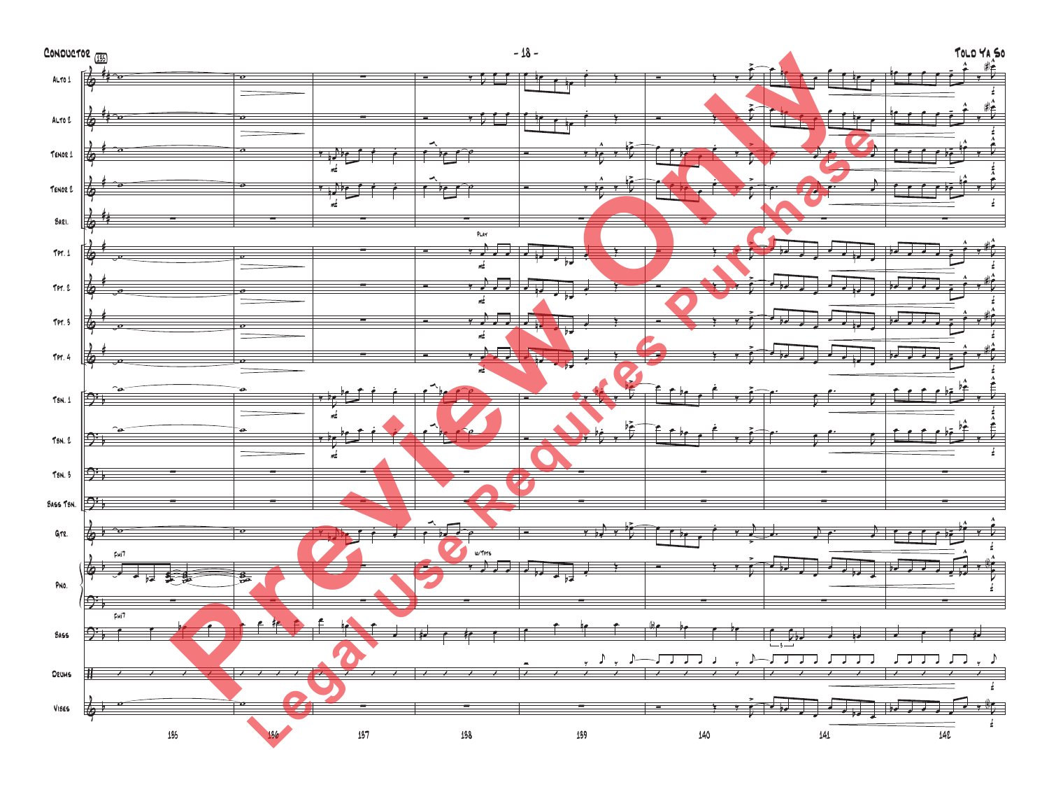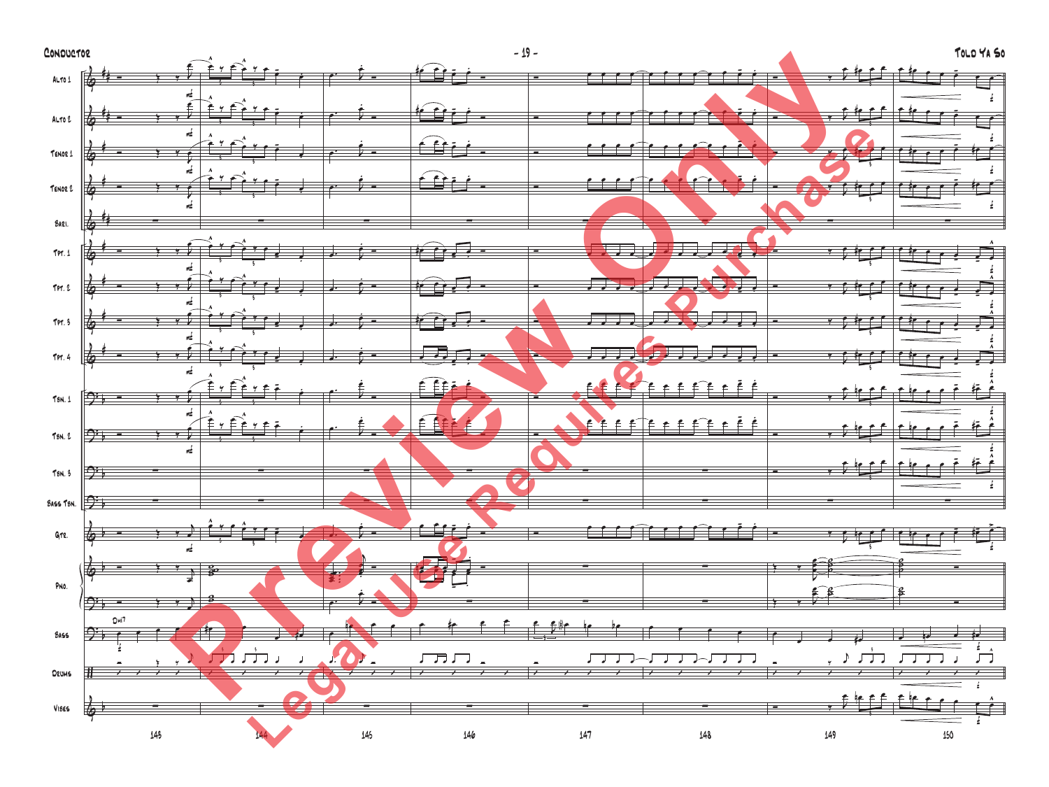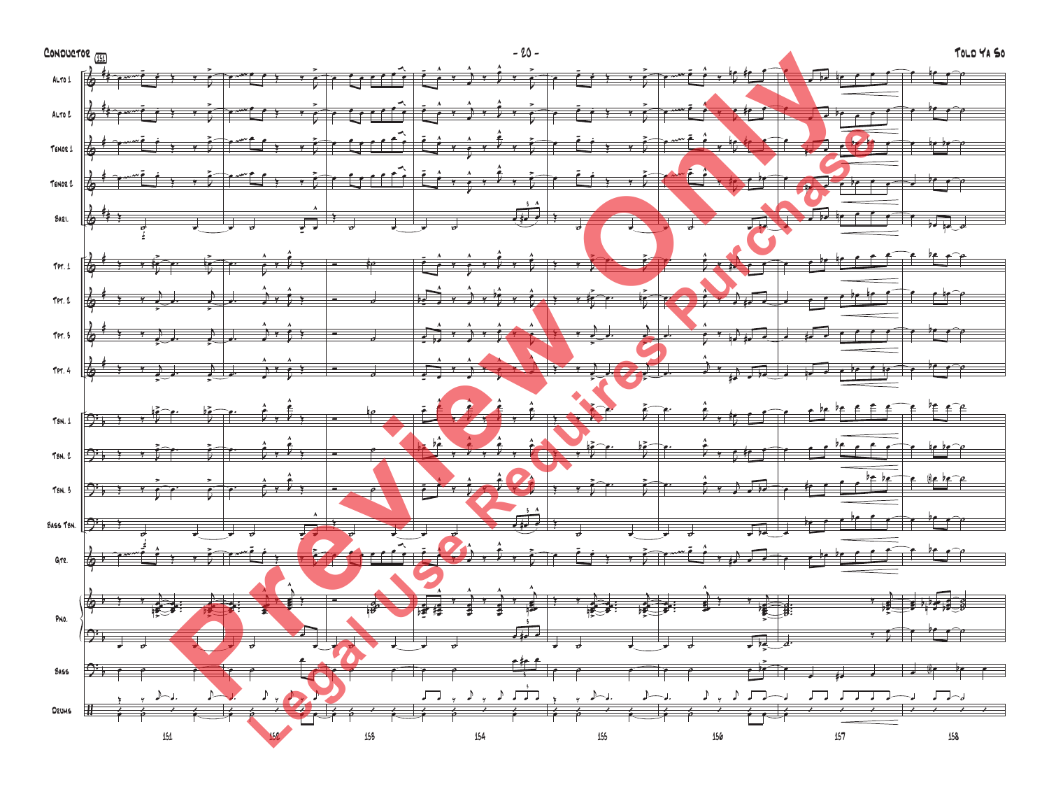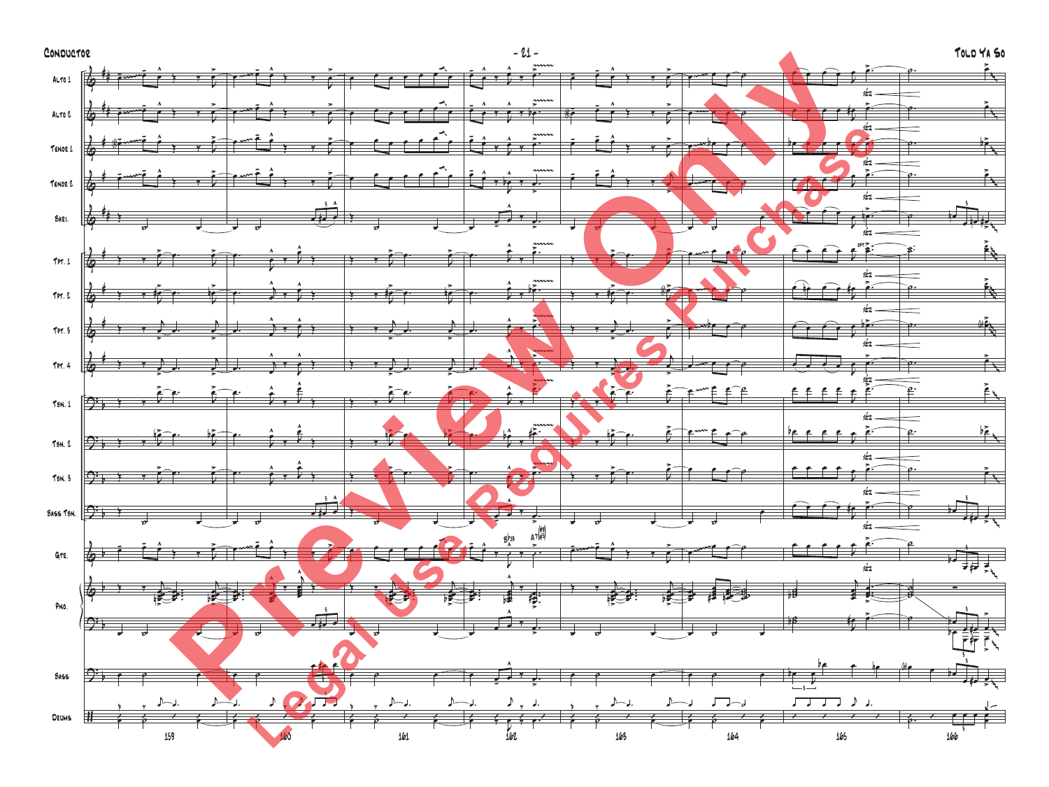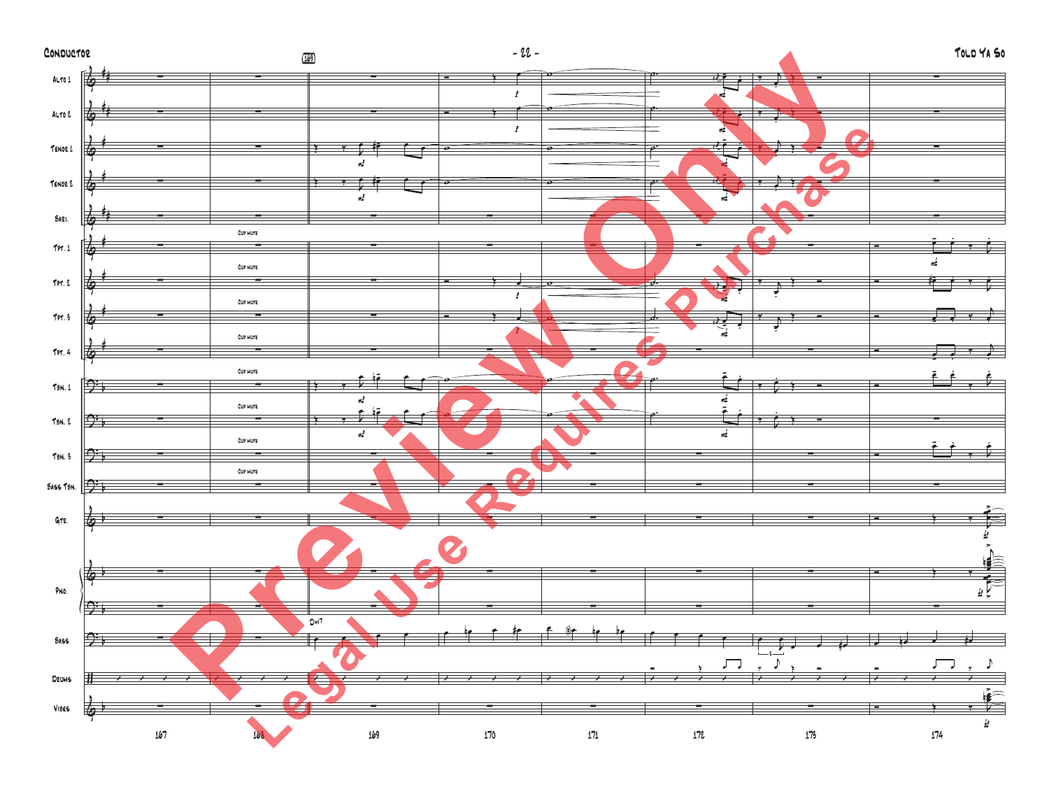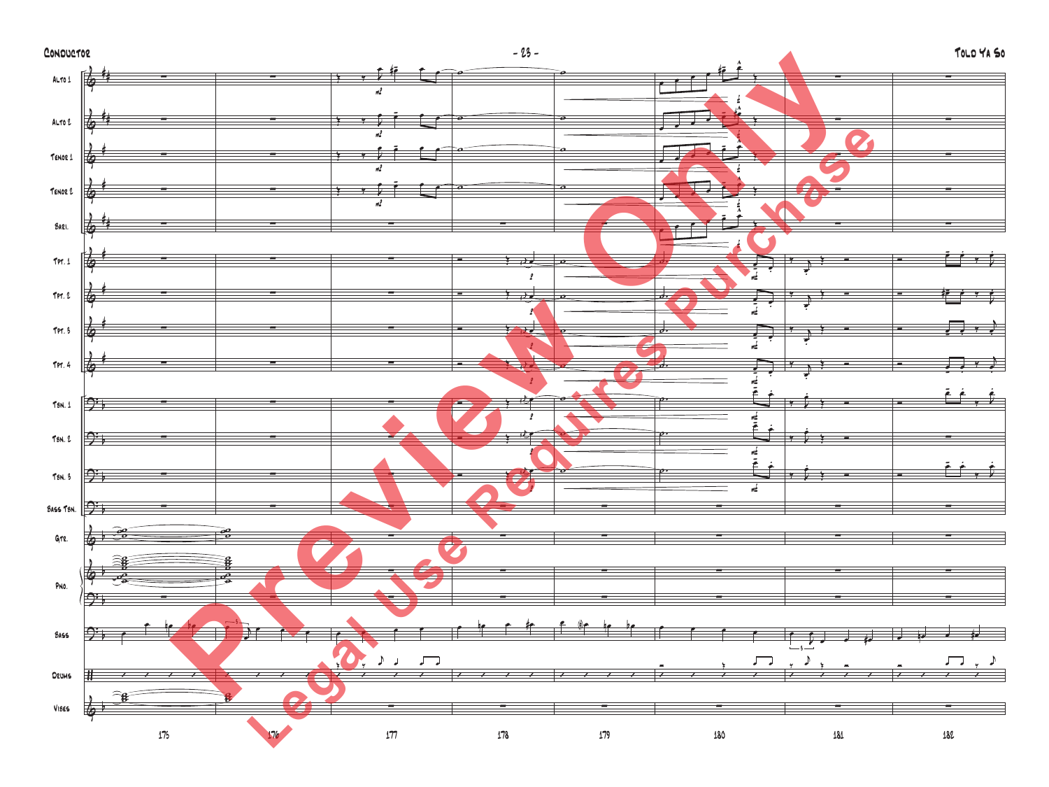